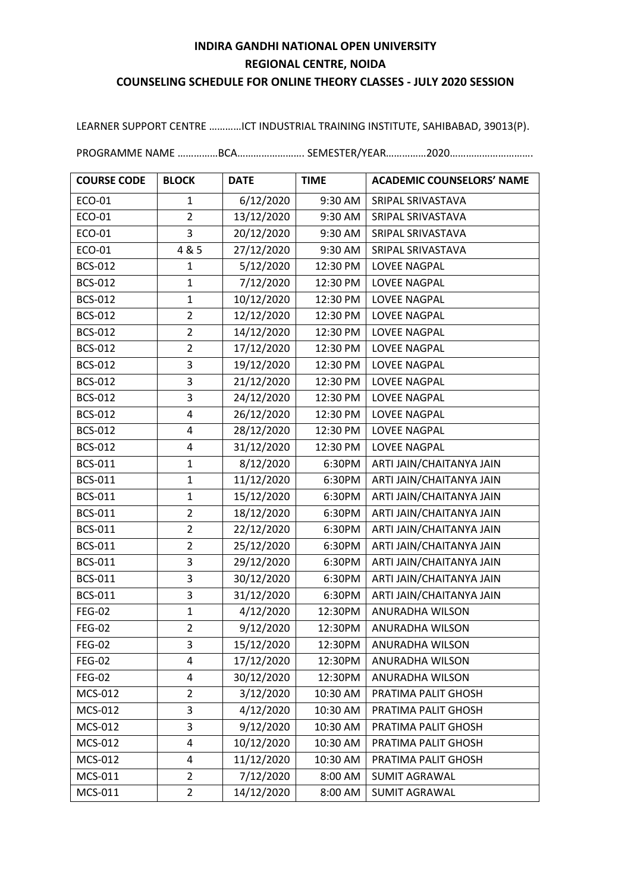## **INDIRA GANDHI NATIONAL OPEN UNIVERSITY REGIONAL CENTRE, NOIDA COUNSELING SCHEDULE FOR ONLINE THEORY CLASSES - JULY 2020 SESSION**

LEARNER SUPPORT CENTRE …………ICT INDUSTRIAL TRAINING INSTITUTE, SAHIBABAD, 39013(P).

PROGRAMME NAME ……………BCA……………………. SEMESTER/YEAR……………2020………………………….

| <b>COURSE CODE</b> | <b>BLOCK</b>            | <b>DATE</b> | <b>TIME</b> | <b>ACADEMIC COUNSELORS' NAME</b> |
|--------------------|-------------------------|-------------|-------------|----------------------------------|
| ECO-01             | 1                       | 6/12/2020   | 9:30 AM     | SRIPAL SRIVASTAVA                |
| ECO-01             | $\overline{2}$          | 13/12/2020  | 9:30 AM     | SRIPAL SRIVASTAVA                |
| ECO-01             | 3                       | 20/12/2020  | 9:30 AM     | SRIPAL SRIVASTAVA                |
| ECO-01             | 4 & 5                   | 27/12/2020  | 9:30 AM     | SRIPAL SRIVASTAVA                |
| <b>BCS-012</b>     | 1                       | 5/12/2020   | 12:30 PM    | LOVEE NAGPAL                     |
| <b>BCS-012</b>     | $\mathbf{1}$            | 7/12/2020   | 12:30 PM    | LOVEE NAGPAL                     |
| <b>BCS-012</b>     | $\mathbf{1}$            | 10/12/2020  | 12:30 PM    | LOVEE NAGPAL                     |
| <b>BCS-012</b>     | $\overline{2}$          | 12/12/2020  | 12:30 PM    | LOVEE NAGPAL                     |
| <b>BCS-012</b>     | $\overline{2}$          | 14/12/2020  | 12:30 PM    | LOVEE NAGPAL                     |
| <b>BCS-012</b>     | $\overline{2}$          | 17/12/2020  | 12:30 PM    | LOVEE NAGPAL                     |
| <b>BCS-012</b>     | 3                       | 19/12/2020  | 12:30 PM    | LOVEE NAGPAL                     |
| <b>BCS-012</b>     | 3                       | 21/12/2020  | 12:30 PM    | LOVEE NAGPAL                     |
| <b>BCS-012</b>     | 3                       | 24/12/2020  | 12:30 PM    | LOVEE NAGPAL                     |
| <b>BCS-012</b>     | 4                       | 26/12/2020  | 12:30 PM    | LOVEE NAGPAL                     |
| <b>BCS-012</b>     | 4                       | 28/12/2020  | 12:30 PM    | LOVEE NAGPAL                     |
| <b>BCS-012</b>     | $\overline{\mathbf{4}}$ | 31/12/2020  | 12:30 PM    | LOVEE NAGPAL                     |
| <b>BCS-011</b>     | $\mathbf{1}$            | 8/12/2020   | 6:30PM      | ARTI JAIN/CHAITANYA JAIN         |
| <b>BCS-011</b>     | $\mathbf{1}$            | 11/12/2020  | 6:30PM      | ARTI JAIN/CHAITANYA JAIN         |
| <b>BCS-011</b>     | $\mathbf{1}$            | 15/12/2020  | 6:30PM      | ARTI JAIN/CHAITANYA JAIN         |
| <b>BCS-011</b>     | $\overline{2}$          | 18/12/2020  | 6:30PM      | ARTI JAIN/CHAITANYA JAIN         |
| <b>BCS-011</b>     | $\overline{2}$          | 22/12/2020  | 6:30PM      | ARTI JAIN/CHAITANYA JAIN         |
| <b>BCS-011</b>     | $\overline{2}$          | 25/12/2020  | 6:30PM      | ARTI JAIN/CHAITANYA JAIN         |
| <b>BCS-011</b>     | 3                       | 29/12/2020  | 6:30PM      | ARTI JAIN/CHAITANYA JAIN         |
| <b>BCS-011</b>     | 3                       | 30/12/2020  | 6:30PM      | ARTI JAIN/CHAITANYA JAIN         |
| <b>BCS-011</b>     | 3                       | 31/12/2020  | 6:30PM      | ARTI JAIN/CHAITANYA JAIN         |
| <b>FEG-02</b>      | $\mathbf{1}$            | 4/12/2020   | 12:30PM     | ANURADHA WILSON                  |
| <b>FEG-02</b>      | $\overline{2}$          | 9/12/2020   | 12:30PM     | ANURADHA WILSON                  |
| <b>FEG-02</b>      | 3                       | 15/12/2020  |             | 12:30PM   ANURADHA WILSON        |
| <b>FEG-02</b>      | 4                       | 17/12/2020  | 12:30PM     | ANURADHA WILSON                  |
| <b>FEG-02</b>      | 4                       | 30/12/2020  | 12:30PM     | ANURADHA WILSON                  |
| MCS-012            | 2                       | 3/12/2020   | 10:30 AM    | PRATIMA PALIT GHOSH              |
| MCS-012            | 3                       | 4/12/2020   | 10:30 AM    | PRATIMA PALIT GHOSH              |
| MCS-012            | 3                       | 9/12/2020   | 10:30 AM    | PRATIMA PALIT GHOSH              |
| MCS-012            | 4                       | 10/12/2020  | 10:30 AM    | PRATIMA PALIT GHOSH              |
| MCS-012            | 4                       | 11/12/2020  | 10:30 AM    | PRATIMA PALIT GHOSH              |
| MCS-011            | $\overline{2}$          | 7/12/2020   | 8:00 AM     | <b>SUMIT AGRAWAL</b>             |
| MCS-011            | $\overline{2}$          | 14/12/2020  | 8:00 AM     | SUMIT AGRAWAL                    |